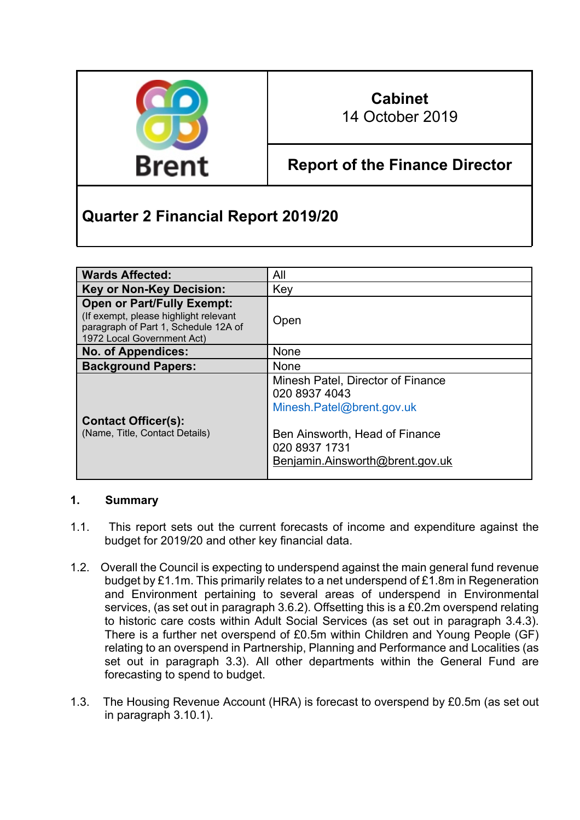

## **Cabinet** 14 October 2019

# **Report of the Finance Director**

# **Quarter 2 Financial Report 2019/20**

| <b>Wards Affected:</b>                                                                                                                           | All                                                                                                                                                                   |
|--------------------------------------------------------------------------------------------------------------------------------------------------|-----------------------------------------------------------------------------------------------------------------------------------------------------------------------|
| <b>Key or Non-Key Decision:</b>                                                                                                                  | Key                                                                                                                                                                   |
| <b>Open or Part/Fully Exempt:</b><br>(If exempt, please highlight relevant<br>paragraph of Part 1, Schedule 12A of<br>1972 Local Government Act) | Open                                                                                                                                                                  |
| <b>No. of Appendices:</b>                                                                                                                        | <b>None</b>                                                                                                                                                           |
| <b>Background Papers:</b>                                                                                                                        | <b>None</b>                                                                                                                                                           |
| <b>Contact Officer(s):</b><br>(Name, Title, Contact Details)                                                                                     | Minesh Patel, Director of Finance<br>020 8937 4043<br>Minesh.Patel@brent.gov.uk<br>Ben Ainsworth, Head of Finance<br>020 8937 1731<br>Benjamin.Ainsworth@brent.gov.uk |

#### **1. Summary**

- 1.1. This report sets out the current forecasts of income and expenditure against the budget for 2019/20 and other key financial data.
- 1.2. Overall the Council is expecting to underspend against the main general fund revenue budget by £1.1m. This primarily relates to a net underspend of £1.8m in Regeneration and Environment pertaining to several areas of underspend in Environmental services, (as set out in paragraph 3.6.2). Offsetting this is a £0.2m overspend relating to historic care costs within Adult Social Services (as set out in paragraph 3.4.3). There is a further net overspend of £0.5m within Children and Young People (GF) relating to an overspend in Partnership, Planning and Performance and Localities (as set out in paragraph 3.3). All other departments within the General Fund are forecasting to spend to budget.
- 1.3. The Housing Revenue Account (HRA) is forecast to overspend by £0.5m (as set out in paragraph 3.10.1).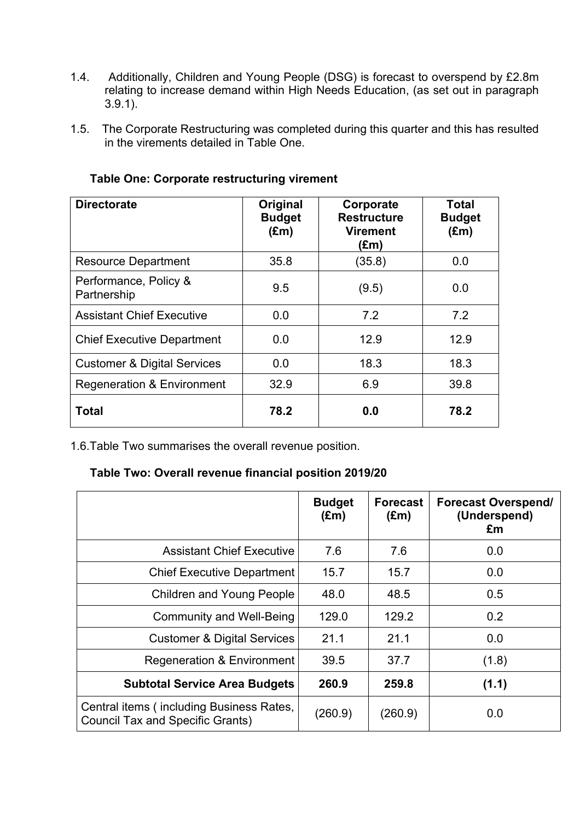- 1.4. Additionally, Children and Young People (DSG) is forecast to overspend by £2.8m relating to increase demand within High Needs Education, (as set out in paragraph 3.9.1).
- 1.5. The Corporate Restructuring was completed during this quarter and this has resulted in the virements detailed in Table One.

| <b>Directorate</b>                     | Original<br><b>Budget</b><br>$(\text{Em})$ | Corporate<br><b>Restructure</b><br>Virement<br>(£m) | <b>Total</b><br><b>Budget</b><br>$(\text{Em})$ |
|----------------------------------------|--------------------------------------------|-----------------------------------------------------|------------------------------------------------|
| <b>Resource Department</b>             | 35.8                                       | (35.8)                                              | 0.0                                            |
| Performance, Policy &<br>Partnership   | 9.5                                        | (9.5)                                               | 0.0                                            |
| <b>Assistant Chief Executive</b>       | 0.0                                        | 7.2                                                 | 7.2                                            |
| <b>Chief Executive Department</b>      | 0.0                                        | 12.9                                                | 12.9                                           |
| <b>Customer &amp; Digital Services</b> | 0.0                                        | 18.3                                                | 18.3                                           |
| <b>Regeneration &amp; Environment</b>  | 32.9                                       | 6.9                                                 | 39.8                                           |
| <b>Total</b>                           | 78.2                                       | 0.0                                                 | 78.2                                           |

#### **Table One: Corporate restructuring virement**

1.6.Table Two summarises the overall revenue position.

#### **Table Two: Overall revenue financial position 2019/20**

|                                                                                     | <b>Budget</b><br>$(\text{Em})$ | <b>Forecast</b><br>$(\text{Em})$ | <b>Forecast Overspend/</b><br>(Underspend)<br>£m |
|-------------------------------------------------------------------------------------|--------------------------------|----------------------------------|--------------------------------------------------|
| <b>Assistant Chief Executive</b>                                                    | 7.6                            | 7.6                              | 0.0                                              |
| <b>Chief Executive Department</b>                                                   | 15.7                           | 15.7                             | 0.0                                              |
| <b>Children and Young People</b>                                                    | 48.0                           | 48.5                             | 0.5                                              |
| <b>Community and Well-Being</b>                                                     | 129.0                          | 129.2                            | 0.2                                              |
| <b>Customer &amp; Digital Services</b>                                              | 21.1                           | 21.1                             | 0.0                                              |
| <b>Regeneration &amp; Environment</b>                                               | 39.5                           | 37.7                             | (1.8)                                            |
| <b>Subtotal Service Area Budgets</b>                                                | 260.9                          | 259.8                            | (1.1)                                            |
| Central items (including Business Rates,<br><b>Council Tax and Specific Grants)</b> | (260.9)                        | (260.9)                          | 0.0                                              |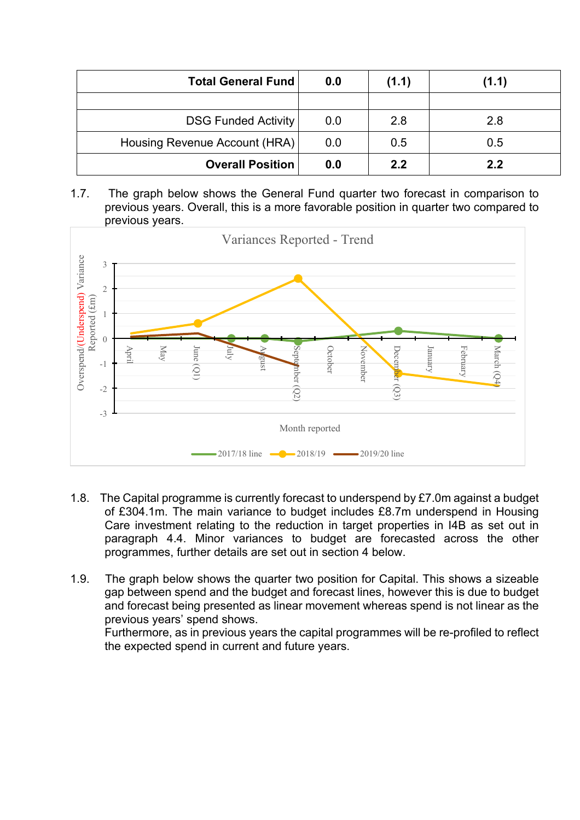| <b>Total General Fund</b>     | 0.0 | (1.1) | (1.1) |
|-------------------------------|-----|-------|-------|
|                               |     |       |       |
| <b>DSG Funded Activity</b>    | 0.0 | 2.8   | 2.8   |
| Housing Revenue Account (HRA) | 0.0 | 0.5   | 0.5   |
| <b>Overall Position</b>       | 0.0 | 2.2   | 2.2   |

1.7. The graph below shows the General Fund quarter two forecast in comparison to previous years. Overall, this is a more favorable position in quarter two compared to previous years.



- 1.8. The Capital programme is currently forecast to underspend by £7.0m against a budget of £304.1m. The main variance to budget includes £8.7m underspend in Housing Care investment relating to the reduction in target properties in I4B as set out in paragraph 4.4. Minor variances to budget are forecasted across the other programmes, further details are set out in section 4 below.
- 1.9. The graph below shows the quarter two position for Capital. This shows a sizeable gap between spend and the budget and forecast lines, however this is due to budget and forecast being presented as linear movement whereas spend is not linear as the previous years' spend shows. Furthermore, as in previous years the capital programmes will be re-profiled to reflect

the expected spend in current and future years.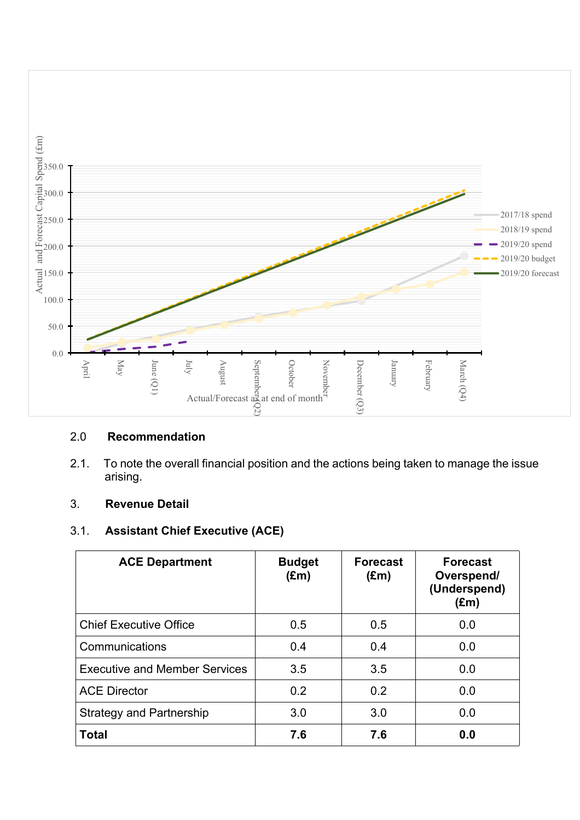

#### 2.0 **Recommendation**

2.1. To note the overall financial position and the actions being taken to manage the issue arising.

#### 3. **Revenue Detail**

## 3.1. **Assistant Chief Executive (ACE)**

| <b>ACE Department</b>                | <b>Budget</b><br>$(\text{Em})$ | <b>Forecast</b><br>$(\text{Em})$ | <b>Forecast</b><br>Overspend/<br>(Underspend)<br>$(\text{Em})$ |
|--------------------------------------|--------------------------------|----------------------------------|----------------------------------------------------------------|
| <b>Chief Executive Office</b>        | 0.5                            | 0.5                              | 0.0                                                            |
| Communications                       | 0.4                            | 0.4                              | 0.0                                                            |
| <b>Executive and Member Services</b> | 3.5                            | 3.5                              | 0.0                                                            |
| <b>ACE Director</b>                  | 0.2                            | 0.2                              | 0.0                                                            |
| <b>Strategy and Partnership</b>      | 3.0                            | 3.0                              | 0.0                                                            |
| <b>Total</b>                         | 7.6                            | 7.6                              | 0.0                                                            |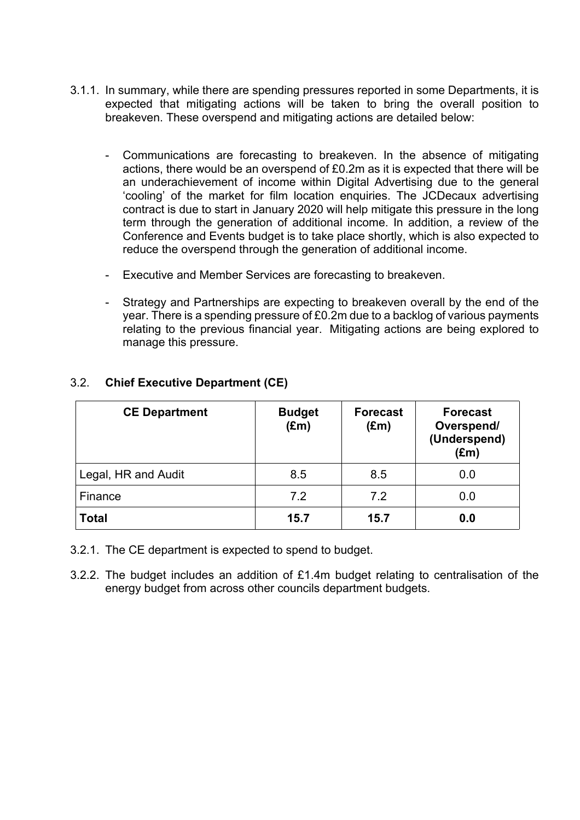- 3.1.1. In summary, while there are spending pressures reported in some Departments, it is expected that mitigating actions will be taken to bring the overall position to breakeven. These overspend and mitigating actions are detailed below:
	- Communications are forecasting to breakeven. In the absence of mitigating actions, there would be an overspend of £0.2m as it is expected that there will be an underachievement of income within Digital Advertising due to the general 'cooling' of the market for film location enquiries. The JCDecaux advertising contract is due to start in January 2020 will help mitigate this pressure in the long term through the generation of additional income. In addition, a review of the Conference and Events budget is to take place shortly, which is also expected to reduce the overspend through the generation of additional income.
	- Executive and Member Services are forecasting to breakeven.
	- Strategy and Partnerships are expecting to breakeven overall by the end of the year. There is a spending pressure of £0.2m due to a backlog of various payments relating to the previous financial year. Mitigating actions are being explored to manage this pressure.

| <b>CE Department</b> | <b>Budget</b><br>$(\text{Em})$ | <b>Forecast</b><br>$(\text{Em})$ | <b>Forecast</b><br>Overspend/<br>(Underspend)<br>$(\text{Em})$ |
|----------------------|--------------------------------|----------------------------------|----------------------------------------------------------------|
| Legal, HR and Audit  | 8.5                            | 8.5                              | 0.0                                                            |
| Finance              | 7.2                            | 7.2                              | 0.0                                                            |
| <b>Total</b>         | 15.7                           | 15.7                             | 0.0                                                            |

#### 3.2. **Chief Executive Department (CE)**

- 3.2.1. The CE department is expected to spend to budget.
- 3.2.2. The budget includes an addition of £1.4m budget relating to centralisation of the energy budget from across other councils department budgets.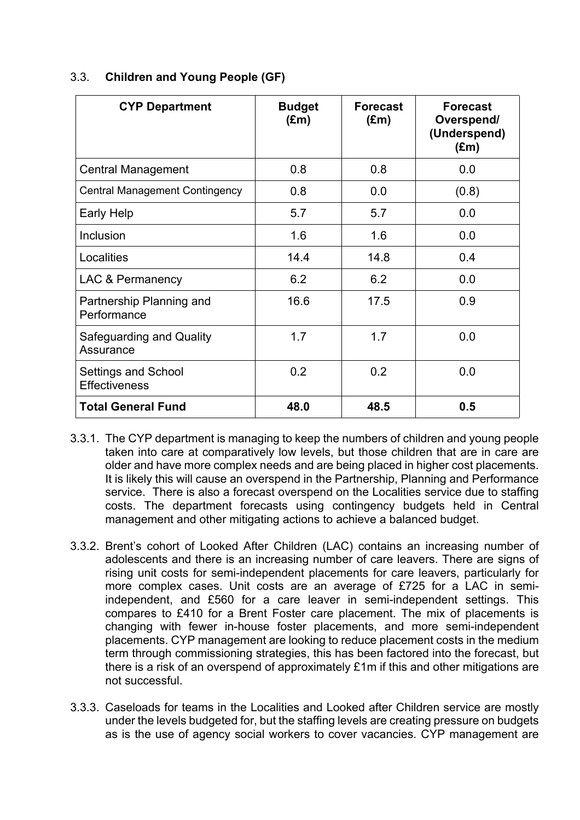| <b>CYP Department</b>                       | <b>Budget</b><br>$(\text{Em})$ | <b>Forecast</b><br>$(\text{Em})$ | <b>Forecast</b><br>Overspend/<br>(Underspend)<br>$(\text{Em})$ |
|---------------------------------------------|--------------------------------|----------------------------------|----------------------------------------------------------------|
| <b>Central Management</b>                   | 0.8                            | 0.8                              | 0.0                                                            |
| <b>Central Management Contingency</b>       | 0.8                            | 0.0                              | (0.8)                                                          |
| Early Help                                  | 5.7                            | 5.7                              | 0.0                                                            |
| Inclusion                                   | 1.6                            | 1.6                              | 0.0                                                            |
| Localities                                  | 14.4                           | 14.8                             | 0.4                                                            |
| LAC & Permanency                            | 6.2                            | 6.2                              | 0.0                                                            |
| Partnership Planning and<br>Performance     | 16.6                           | 17.5                             | 0.9                                                            |
| Safeguarding and Quality<br>Assurance       | 1.7                            | 1.7                              | 0.0                                                            |
| Settings and School<br><b>Effectiveness</b> | 0.2                            | 0.2                              | 0.0                                                            |
| <b>Total General Fund</b>                   | 48.0                           | 48.5                             | 0.5                                                            |

#### 3.3. **Children and Young People (GF)**

- 3.3.1. The CYP department is managing to keep the numbers of children and young people taken into care at comparatively low levels, but those children that are in care are older and have more complex needs and are being placed in higher cost placements. It is likely this will cause an overspend in the Partnership, Planning and Performance service. There is also a forecast overspend on the Localities service due to staffing costs. The department forecasts using contingency budgets held in Central management and other mitigating actions to achieve a balanced budget.
- 3.3.2. Brent's cohort of Looked After Children (LAC) contains an increasing number of adolescents and there is an increasing number of care leavers. There are signs of rising unit costs for semi-independent placements for care leavers, particularly for more complex cases. Unit costs are an average of £725 for a LAC in semiindependent, and £560 for a care leaver in semi-independent settings. This compares to £410 for a Brent Foster care placement. The mix of placements is changing with fewer in-house foster placements, and more semi-independent placements. CYP management are looking to reduce placement costs in the medium term through commissioning strategies, this has been factored into the forecast, but there is a risk of an overspend of approximately £1m if this and other mitigations are not successful.
- 3.3.3. Caseloads for teams in the Localities and Looked after Children service are mostly under the levels budgeted for, but the staffing levels are creating pressure on budgets as is the use of agency social workers to cover vacancies. CYP management are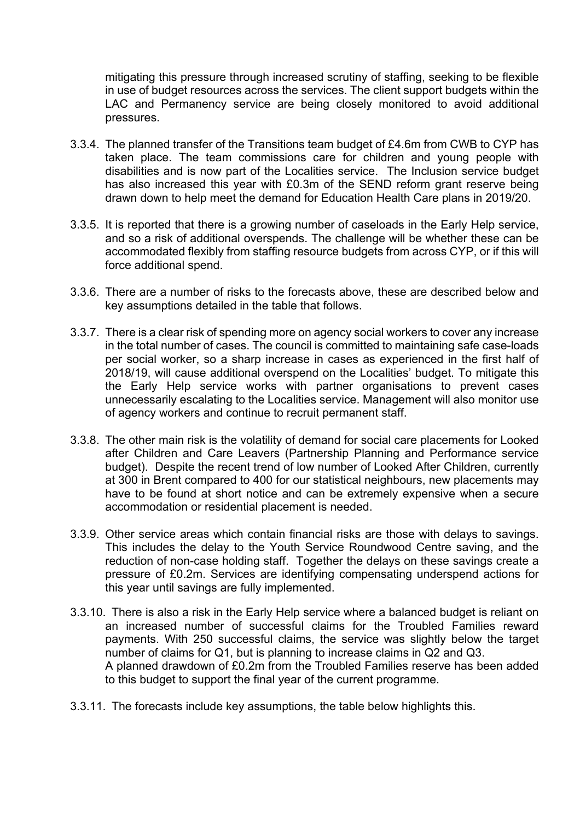mitigating this pressure through increased scrutiny of staffing, seeking to be flexible in use of budget resources across the services. The client support budgets within the LAC and Permanency service are being closely monitored to avoid additional pressures.

- 3.3.4. The planned transfer of the Transitions team budget of £4.6m from CWB to CYP has taken place. The team commissions care for children and young people with disabilities and is now part of the Localities service. The Inclusion service budget has also increased this year with £0.3m of the SEND reform grant reserve being drawn down to help meet the demand for Education Health Care plans in 2019/20.
- 3.3.5. It is reported that there is a growing number of caseloads in the Early Help service, and so a risk of additional overspends. The challenge will be whether these can be accommodated flexibly from staffing resource budgets from across CYP, or if this will force additional spend.
- 3.3.6. There are a number of risks to the forecasts above, these are described below and key assumptions detailed in the table that follows.
- 3.3.7. There is a clear risk of spending more on agency social workers to cover any increase in the total number of cases. The council is committed to maintaining safe case-loads per social worker, so a sharp increase in cases as experienced in the first half of 2018/19, will cause additional overspend on the Localities' budget. To mitigate this the Early Help service works with partner organisations to prevent cases unnecessarily escalating to the Localities service. Management will also monitor use of agency workers and continue to recruit permanent staff.
- 3.3.8. The other main risk is the volatility of demand for social care placements for Looked after Children and Care Leavers (Partnership Planning and Performance service budget). Despite the recent trend of low number of Looked After Children, currently at 300 in Brent compared to 400 for our statistical neighbours, new placements may have to be found at short notice and can be extremely expensive when a secure accommodation or residential placement is needed.
- 3.3.9. Other service areas which contain financial risks are those with delays to savings. This includes the delay to the Youth Service Roundwood Centre saving, and the reduction of non-case holding staff. Together the delays on these savings create a pressure of £0.2m. Services are identifying compensating underspend actions for this year until savings are fully implemented.
- 3.3.10. There is also a risk in the Early Help service where a balanced budget is reliant on an increased number of successful claims for the Troubled Families reward payments. With 250 successful claims, the service was slightly below the target number of claims for Q1, but is planning to increase claims in Q2 and Q3. A planned drawdown of £0.2m from the Troubled Families reserve has been added to this budget to support the final year of the current programme.
- 3.3.11. The forecasts include key assumptions, the table below highlights this.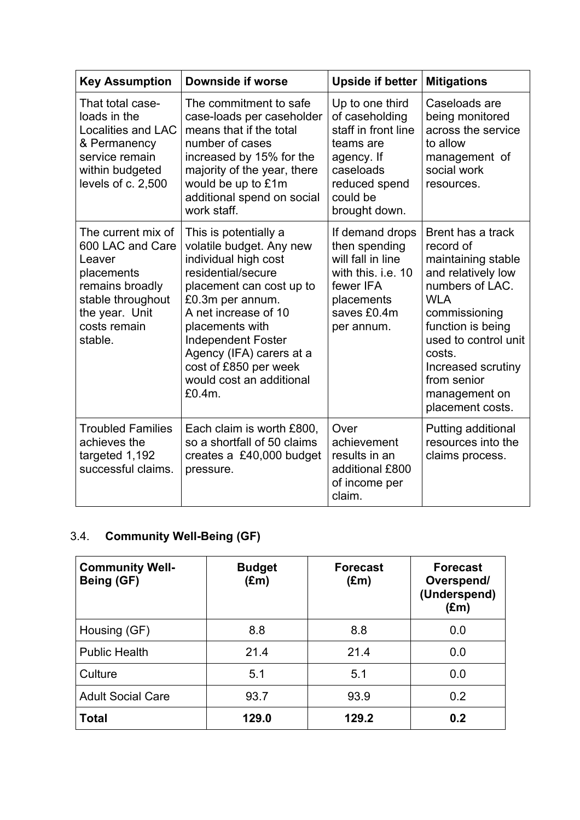| <b>Key Assumption</b>                                                                                                                               | Downside if worse                                                                                                                                                                                                                                                                                                  | <b>Upside if better</b>                                                                                                                        | <b>Mitigations</b>                                                                                                                                                                                                                                            |
|-----------------------------------------------------------------------------------------------------------------------------------------------------|--------------------------------------------------------------------------------------------------------------------------------------------------------------------------------------------------------------------------------------------------------------------------------------------------------------------|------------------------------------------------------------------------------------------------------------------------------------------------|---------------------------------------------------------------------------------------------------------------------------------------------------------------------------------------------------------------------------------------------------------------|
| That total case-<br>loads in the<br><b>Localities and LAC</b><br>& Permanency<br>service remain<br>within budgeted<br>levels of c. 2,500            | The commitment to safe<br>case-loads per caseholder<br>means that if the total<br>number of cases<br>increased by 15% for the<br>majority of the year, there<br>would be up to £1m<br>additional spend on social<br>work staff.                                                                                    | Up to one third<br>of caseholding<br>staff in front line<br>teams are<br>agency. If<br>caseloads<br>reduced spend<br>could be<br>brought down. | Caseloads are<br>being monitored<br>across the service<br>to allow<br>management of<br>social work<br>resources.                                                                                                                                              |
| The current mix of<br>600 LAC and Care<br>Leaver<br>placements<br>remains broadly<br>stable throughout<br>the year. Unit<br>costs remain<br>stable. | This is potentially a<br>volatile budget. Any new<br>individual high cost<br>residential/secure<br>placement can cost up to<br>£0.3m per annum.<br>A net increase of 10<br>placements with<br><b>Independent Foster</b><br>Agency (IFA) carers at a<br>cost of £850 per week<br>would cost an additional<br>£0.4m. | If demand drops<br>then spending<br>will fall in line<br>with this, i.e. 10<br>fewer IFA<br>placements<br>saves £0.4m<br>per annum.            | Brent has a track<br>record of<br>maintaining stable<br>and relatively low<br>numbers of LAC.<br><b>WLA</b><br>commissioning<br>function is being<br>used to control unit<br>costs.<br>Increased scrutiny<br>from senior<br>management on<br>placement costs. |
| <b>Troubled Families</b><br>achieves the<br>targeted 1,192<br>successful claims.                                                                    | Each claim is worth £800,<br>so a shortfall of 50 claims<br>creates a £40,000 budget<br>pressure.                                                                                                                                                                                                                  | Over<br>achievement<br>results in an<br>additional £800<br>of income per<br>claim.                                                             | Putting additional<br>resources into the<br>claims process.                                                                                                                                                                                                   |

## 3.4. **Community Well-Being (GF)**

| <b>Community Well-</b><br>Being (GF) | <b>Budget</b><br>$(\text{Em})$ | <b>Forecast</b><br>$(\text{Em})$ | <b>Forecast</b><br>Overspend/<br>(Underspend)<br>$(\text{Em})$ |
|--------------------------------------|--------------------------------|----------------------------------|----------------------------------------------------------------|
| Housing (GF)                         | 8.8                            | 8.8                              | 0.0                                                            |
| <b>Public Health</b>                 | 21.4                           | 21.4                             | 0.0                                                            |
| Culture                              | 5.1                            | 5.1                              | 0.0                                                            |
| <b>Adult Social Care</b>             | 93.7                           | 93.9                             | 0.2                                                            |
| <b>Total</b>                         | 129.0                          | 129.2                            | 0.2                                                            |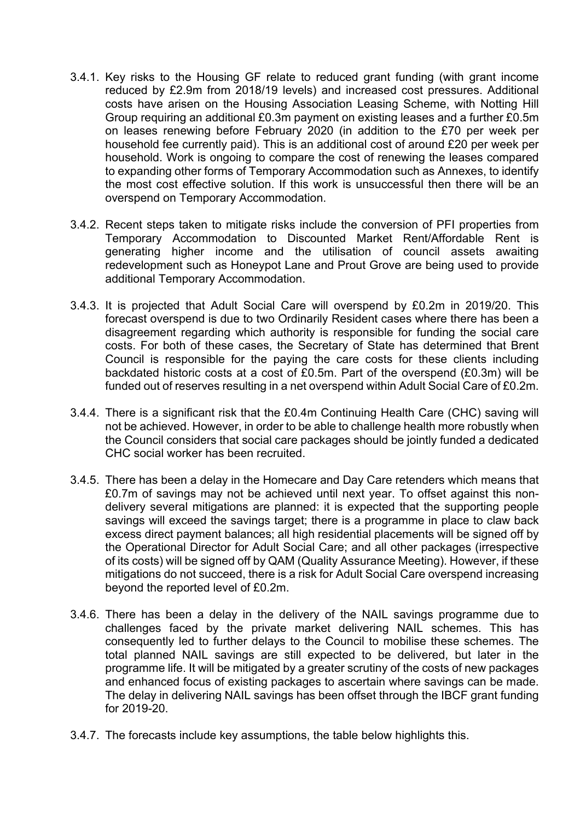- 3.4.1. Key risks to the Housing GF relate to reduced grant funding (with grant income reduced by £2.9m from 2018/19 levels) and increased cost pressures. Additional costs have arisen on the Housing Association Leasing Scheme, with Notting Hill Group requiring an additional £0.3m payment on existing leases and a further £0.5m on leases renewing before February 2020 (in addition to the £70 per week per household fee currently paid). This is an additional cost of around £20 per week per household. Work is ongoing to compare the cost of renewing the leases compared to expanding other forms of Temporary Accommodation such as Annexes, to identify the most cost effective solution. If this work is unsuccessful then there will be an overspend on Temporary Accommodation.
- 3.4.2. Recent steps taken to mitigate risks include the conversion of PFI properties from Temporary Accommodation to Discounted Market Rent/Affordable Rent is generating higher income and the utilisation of council assets awaiting redevelopment such as Honeypot Lane and Prout Grove are being used to provide additional Temporary Accommodation.
- 3.4.3. It is projected that Adult Social Care will overspend by £0.2m in 2019/20. This forecast overspend is due to two Ordinarily Resident cases where there has been a disagreement regarding which authority is responsible for funding the social care costs. For both of these cases, the Secretary of State has determined that Brent Council is responsible for the paying the care costs for these clients including backdated historic costs at a cost of £0.5m. Part of the overspend (£0.3m) will be funded out of reserves resulting in a net overspend within Adult Social Care of £0.2m.
- 3.4.4. There is a significant risk that the £0.4m Continuing Health Care (CHC) saving will not be achieved. However, in order to be able to challenge health more robustly when the Council considers that social care packages should be jointly funded a dedicated CHC social worker has been recruited.
- 3.4.5. There has been a delay in the Homecare and Day Care retenders which means that £0.7m of savings may not be achieved until next year. To offset against this nondelivery several mitigations are planned: it is expected that the supporting people savings will exceed the savings target; there is a programme in place to claw back excess direct payment balances; all high residential placements will be signed off by the Operational Director for Adult Social Care; and all other packages (irrespective of its costs) will be signed off by QAM (Quality Assurance Meeting). However, if these mitigations do not succeed, there is a risk for Adult Social Care overspend increasing beyond the reported level of £0.2m.
- 3.4.6. There has been a delay in the delivery of the NAIL savings programme due to challenges faced by the private market delivering NAIL schemes. This has consequently led to further delays to the Council to mobilise these schemes. The total planned NAIL savings are still expected to be delivered, but later in the programme life. It will be mitigated by a greater scrutiny of the costs of new packages and enhanced focus of existing packages to ascertain where savings can be made. The delay in delivering NAIL savings has been offset through the IBCF grant funding for 2019-20.
- 3.4.7. The forecasts include key assumptions, the table below highlights this.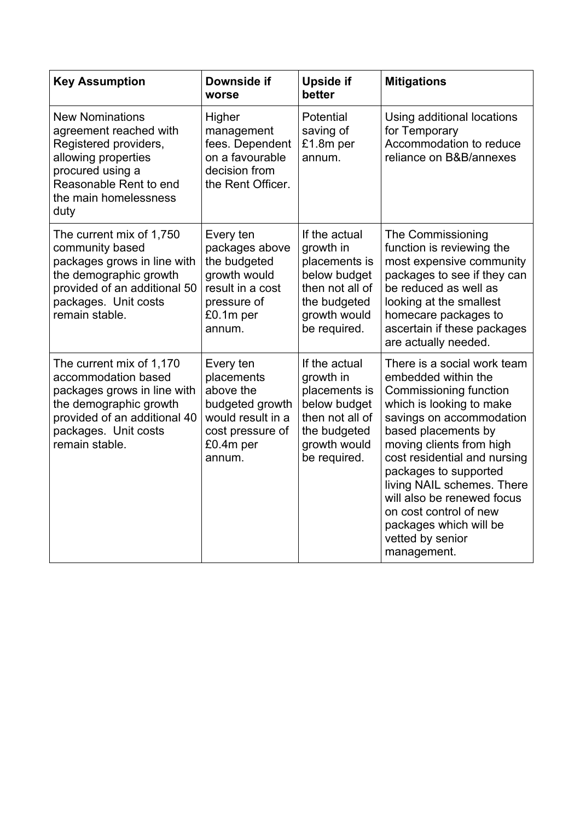| <b>Key Assumption</b>                                                                                                                                                              | Downside if<br>worse                                                                                                    | <b>Upside if</b><br>better                                                                                                     | <b>Mitigations</b>                                                                                                                                                                                                                                                                                                                                                                                  |
|------------------------------------------------------------------------------------------------------------------------------------------------------------------------------------|-------------------------------------------------------------------------------------------------------------------------|--------------------------------------------------------------------------------------------------------------------------------|-----------------------------------------------------------------------------------------------------------------------------------------------------------------------------------------------------------------------------------------------------------------------------------------------------------------------------------------------------------------------------------------------------|
| <b>New Nominations</b><br>agreement reached with<br>Registered providers,<br>allowing properties<br>procured using a<br>Reasonable Rent to end<br>the main homelessness<br>duty    | Higher<br>management<br>fees. Dependent<br>on a favourable<br>decision from<br>the Rent Officer.                        | Potential<br>saving of<br>£1.8m per<br>annum.                                                                                  | Using additional locations<br>for Temporary<br>Accommodation to reduce<br>reliance on B&B/annexes                                                                                                                                                                                                                                                                                                   |
| The current mix of 1,750<br>community based<br>packages grows in line with<br>the demographic growth<br>provided of an additional 50<br>packages. Unit costs<br>remain stable.     | Every ten<br>packages above<br>the budgeted<br>growth would<br>result in a cost<br>pressure of<br>£0.1m per<br>annum.   | If the actual<br>growth in<br>placements is<br>below budget<br>then not all of<br>the budgeted<br>growth would<br>be required. | The Commissioning<br>function is reviewing the<br>most expensive community<br>packages to see if they can<br>be reduced as well as<br>looking at the smallest<br>homecare packages to<br>ascertain if these packages<br>are actually needed.                                                                                                                                                        |
| The current mix of 1,170<br>accommodation based<br>packages grows in line with<br>the demographic growth<br>provided of an additional 40<br>packages. Unit costs<br>remain stable. | Every ten<br>placements<br>above the<br>budgeted growth<br>would result in a<br>cost pressure of<br>£0.4m per<br>annum. | If the actual<br>growth in<br>placements is<br>below budget<br>then not all of<br>the budgeted<br>growth would<br>be required. | There is a social work team<br>embedded within the<br>Commissioning function<br>which is looking to make<br>savings on accommodation<br>based placements by<br>moving clients from high<br>cost residential and nursing<br>packages to supported<br>living NAIL schemes. There<br>will also be renewed focus<br>on cost control of new<br>packages which will be<br>vetted by senior<br>management. |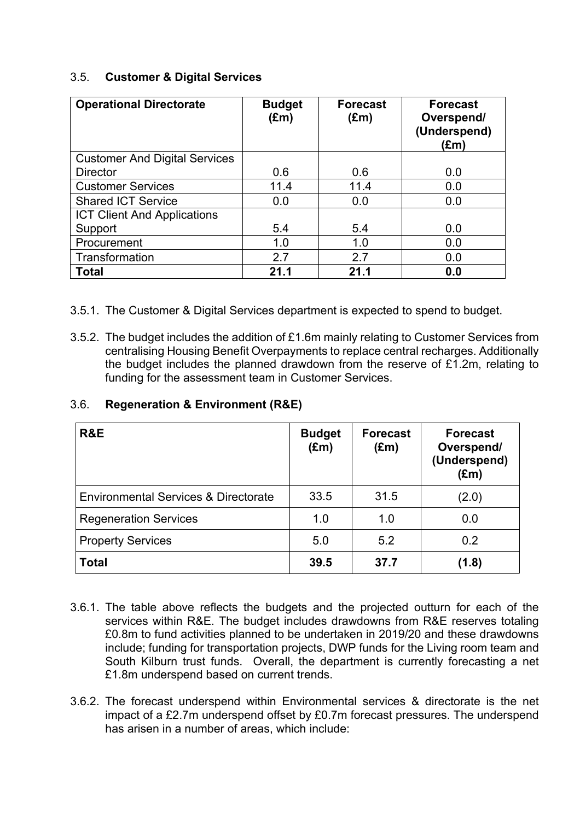#### 3.5. **Customer & Digital Services**

| <b>Operational Directorate</b>       | <b>Budget</b><br>$(\text{Em})$ | <b>Forecast</b><br>$(\text{Em})$ | <b>Forecast</b><br>Overspend/<br>(Underspend)<br>$(\text{Em})$ |
|--------------------------------------|--------------------------------|----------------------------------|----------------------------------------------------------------|
| <b>Customer And Digital Services</b> |                                |                                  |                                                                |
| <b>Director</b>                      | 0.6                            | 0.6                              | 0.0                                                            |
| <b>Customer Services</b>             | 11.4                           | 11.4                             | 0.0                                                            |
| <b>Shared ICT Service</b>            | 0.0                            | 0.0                              | 0.0                                                            |
| <b>ICT Client And Applications</b>   |                                |                                  |                                                                |
| Support                              | 5.4                            | 5.4                              | 0.0                                                            |
| Procurement                          | 1.0                            | 1.0                              | 0.0                                                            |
| Transformation                       | 2.7                            | 2.7                              | 0.0                                                            |
| <b>Total</b>                         | 21.1                           | 21.1                             | 0.0                                                            |

- 3.5.1. The Customer & Digital Services department is expected to spend to budget.
- 3.5.2. The budget includes the addition of £1.6m mainly relating to Customer Services from centralising Housing Benefit Overpayments to replace central recharges. Additionally the budget includes the planned drawdown from the reserve of £1.2m, relating to funding for the assessment team in Customer Services.

| R&E                                             | <b>Budget</b><br>$(\text{Em})$ | <b>Forecast</b><br>$(\text{Em})$ | <b>Forecast</b><br>Overspend/<br>(Underspend)<br>$(\text{Em})$ |
|-------------------------------------------------|--------------------------------|----------------------------------|----------------------------------------------------------------|
| <b>Environmental Services &amp; Directorate</b> | 33.5                           | 31.5                             | (2.0)                                                          |
| <b>Regeneration Services</b>                    | 1.0                            | 1.0                              | 0.0                                                            |
| <b>Property Services</b>                        | 5.0                            | 5.2                              | 0.2                                                            |
| <b>Total</b>                                    | 39.5                           | 37.7                             | (1.8)                                                          |

#### 3.6. **Regeneration & Environment (R&E)**

- 3.6.1. The table above reflects the budgets and the projected outturn for each of the services within R&E. The budget includes drawdowns from R&E reserves totaling £0.8m to fund activities planned to be undertaken in 2019/20 and these drawdowns include; funding for transportation projects, DWP funds for the Living room team and South Kilburn trust funds. Overall, the department is currently forecasting a net £1.8m underspend based on current trends.
- 3.6.2. The forecast underspend within Environmental services & directorate is the net impact of a £2.7m underspend offset by £0.7m forecast pressures. The underspend has arisen in a number of areas, which include: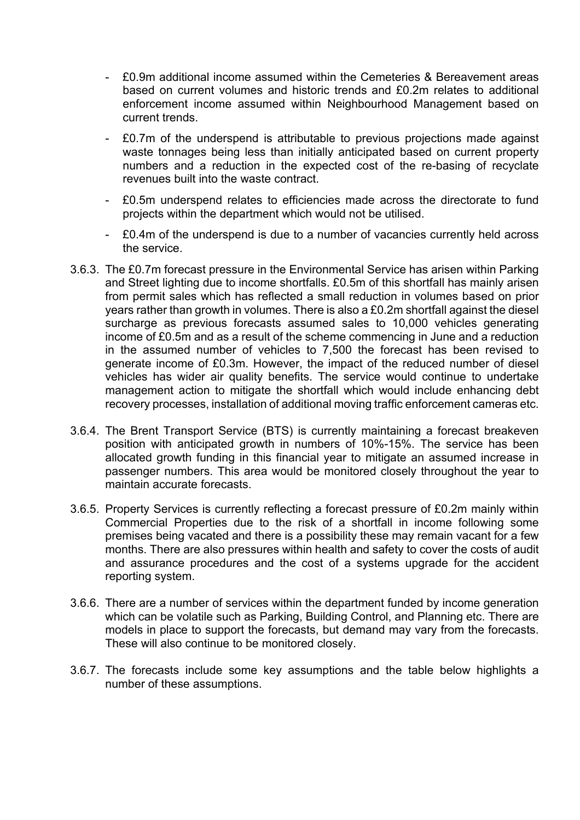- £0.9m additional income assumed within the Cemeteries & Bereavement areas based on current volumes and historic trends and £0.2m relates to additional enforcement income assumed within Neighbourhood Management based on current trends.
- £0.7m of the underspend is attributable to previous projections made against waste tonnages being less than initially anticipated based on current property numbers and a reduction in the expected cost of the re-basing of recyclate revenues built into the waste contract.
- £0.5m underspend relates to efficiencies made across the directorate to fund projects within the department which would not be utilised.
- £0.4m of the underspend is due to a number of vacancies currently held across the service.
- 3.6.3. The £0.7m forecast pressure in the Environmental Service has arisen within Parking and Street lighting due to income shortfalls. £0.5m of this shortfall has mainly arisen from permit sales which has reflected a small reduction in volumes based on prior years rather than growth in volumes. There is also a £0.2m shortfall against the diesel surcharge as previous forecasts assumed sales to 10,000 vehicles generating income of £0.5m and as a result of the scheme commencing in June and a reduction in the assumed number of vehicles to 7,500 the forecast has been revised to generate income of £0.3m. However, the impact of the reduced number of diesel vehicles has wider air quality benefits. The service would continue to undertake management action to mitigate the shortfall which would include enhancing debt recovery processes, installation of additional moving traffic enforcement cameras etc.
- 3.6.4. The Brent Transport Service (BTS) is currently maintaining a forecast breakeven position with anticipated growth in numbers of 10%-15%. The service has been allocated growth funding in this financial year to mitigate an assumed increase in passenger numbers. This area would be monitored closely throughout the year to maintain accurate forecasts.
- 3.6.5. Property Services is currently reflecting a forecast pressure of £0.2m mainly within Commercial Properties due to the risk of a shortfall in income following some premises being vacated and there is a possibility these may remain vacant for a few months. There are also pressures within health and safety to cover the costs of audit and assurance procedures and the cost of a systems upgrade for the accident reporting system.
- 3.6.6. There are a number of services within the department funded by income generation which can be volatile such as Parking, Building Control, and Planning etc. There are models in place to support the forecasts, but demand may vary from the forecasts. These will also continue to be monitored closely.
- 3.6.7. The forecasts include some key assumptions and the table below highlights a number of these assumptions.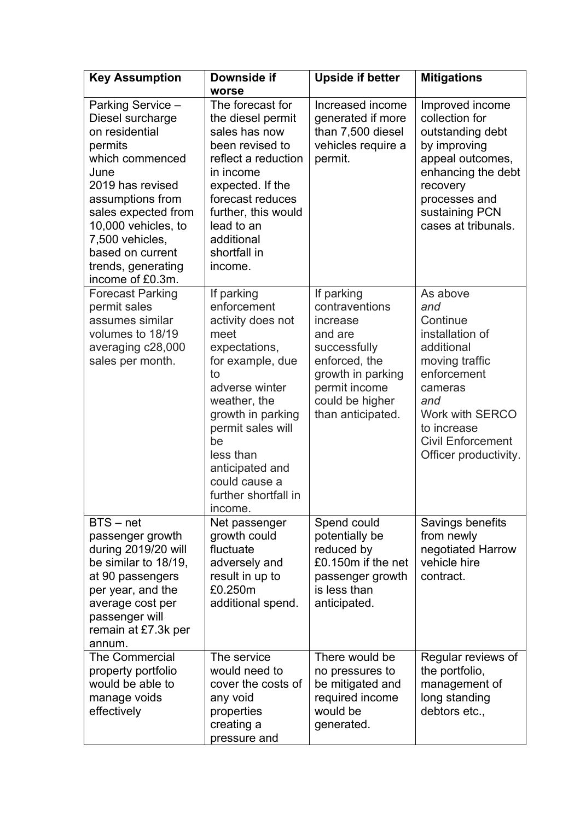| <b>Key Assumption</b>                                                                                                                                                                                                                                                | Downside if<br>worse                                                                                                                                                                                                                                                    | <b>Upside if better</b>                                                                                                                                            | <b>Mitigations</b>                                                                                                                                                                                     |
|----------------------------------------------------------------------------------------------------------------------------------------------------------------------------------------------------------------------------------------------------------------------|-------------------------------------------------------------------------------------------------------------------------------------------------------------------------------------------------------------------------------------------------------------------------|--------------------------------------------------------------------------------------------------------------------------------------------------------------------|--------------------------------------------------------------------------------------------------------------------------------------------------------------------------------------------------------|
| Parking Service -<br>Diesel surcharge<br>on residential<br>permits<br>which commenced<br>June<br>2019 has revised<br>assumptions from<br>sales expected from<br>10,000 vehicles, to<br>7,500 vehicles,<br>based on current<br>trends, generating<br>income of £0.3m. | The forecast for<br>the diesel permit<br>sales has now<br>been revised to<br>reflect a reduction<br>in income<br>expected. If the<br>forecast reduces<br>further, this would<br>lead to an<br>additional<br>shortfall in<br>income.                                     | Increased income<br>generated if more<br>than 7,500 diesel<br>vehicles require a<br>permit.                                                                        | Improved income<br>collection for<br>outstanding debt<br>by improving<br>appeal outcomes,<br>enhancing the debt<br>recovery<br>processes and<br>sustaining PCN<br>cases at tribunals.                  |
| <b>Forecast Parking</b><br>permit sales<br>assumes similar<br>volumes to 18/19<br>averaging c28,000<br>sales per month.                                                                                                                                              | If parking<br>enforcement<br>activity does not<br>meet<br>expectations,<br>for example, due<br>to<br>adverse winter<br>weather, the<br>growth in parking<br>permit sales will<br>be<br>less than<br>anticipated and<br>could cause a<br>further shortfall in<br>income. | If parking<br>contraventions<br>increase<br>and are<br>successfully<br>enforced, the<br>growth in parking<br>permit income<br>could be higher<br>than anticipated. | As above<br>and<br>Continue<br>installation of<br>additional<br>moving traffic<br>enforcement<br>cameras<br>and<br>Work with SERCO<br>to increase<br><b>Civil Enforcement</b><br>Officer productivity. |
| $BTS - net$<br>passenger growth<br>during 2019/20 will<br>be similar to 18/19,<br>at 90 passengers<br>per year, and the<br>average cost per<br>passenger will<br>remain at £7.3k per<br>annum.                                                                       | Net passenger<br>growth could<br>fluctuate<br>adversely and<br>result in up to<br>£0.250m<br>additional spend.                                                                                                                                                          | Spend could<br>potentially be<br>reduced by<br>£0.150m if the net<br>passenger growth<br>is less than<br>anticipated.                                              | Savings benefits<br>from newly<br>negotiated Harrow<br>vehicle hire<br>contract.                                                                                                                       |
| <b>The Commercial</b><br>property portfolio<br>would be able to<br>manage voids<br>effectively                                                                                                                                                                       | The service<br>would need to<br>cover the costs of<br>any void<br>properties<br>creating a<br>pressure and                                                                                                                                                              | There would be<br>no pressures to<br>be mitigated and<br>required income<br>would be<br>generated.                                                                 | Regular reviews of<br>the portfolio,<br>management of<br>long standing<br>debtors etc.,                                                                                                                |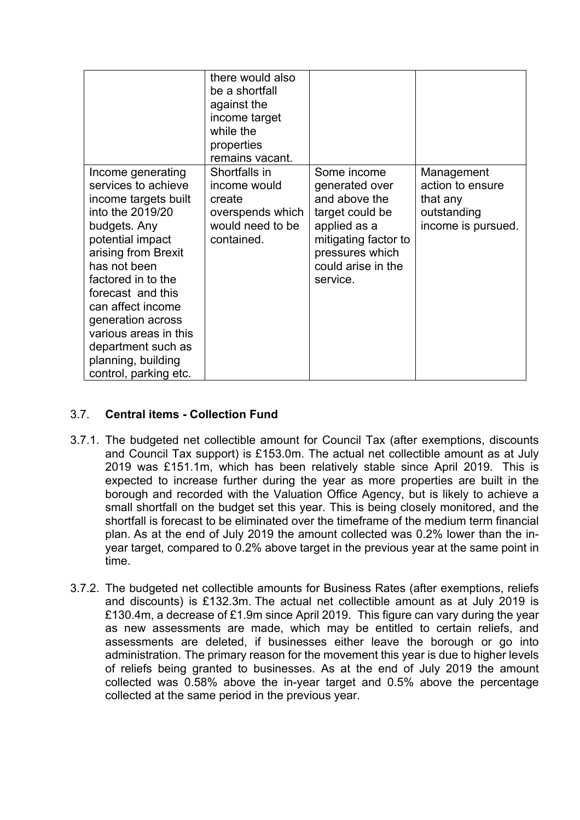|                                                                                                                                                                                                                                                                                                                                                    | there would also<br>be a shortfall<br>against the<br>income target<br>while the<br>properties<br>remains vacant. |                                                                                                                                                                |                                                                                 |
|----------------------------------------------------------------------------------------------------------------------------------------------------------------------------------------------------------------------------------------------------------------------------------------------------------------------------------------------------|------------------------------------------------------------------------------------------------------------------|----------------------------------------------------------------------------------------------------------------------------------------------------------------|---------------------------------------------------------------------------------|
| Income generating<br>services to achieve<br>income targets built<br>into the 2019/20<br>budgets. Any<br>potential impact<br>arising from Brexit<br>has not been<br>factored in to the<br>forecast and this<br>can affect income<br>generation across<br>various areas in this<br>department such as<br>planning, building<br>control, parking etc. | Shortfalls in<br>income would<br>create<br>overspends which<br>would need to be<br>contained.                    | Some income<br>generated over<br>and above the<br>target could be<br>applied as a<br>mitigating factor to<br>pressures which<br>could arise in the<br>service. | Management<br>action to ensure<br>that any<br>outstanding<br>income is pursued. |

### 3.7. **Central items - Collection Fund**

- 3.7.1. The budgeted net collectible amount for Council Tax (after exemptions, discounts and Council Tax support) is £153.0m. The actual net collectible amount as at July 2019 was £151.1m, which has been relatively stable since April 2019. This is expected to increase further during the year as more properties are built in the borough and recorded with the Valuation Office Agency, but is likely to achieve a small shortfall on the budget set this year. This is being closely monitored, and the shortfall is forecast to be eliminated over the timeframe of the medium term financial plan. As at the end of July 2019 the amount collected was 0.2% lower than the inyear target, compared to 0.2% above target in the previous year at the same point in time.
- 3.7.2. The budgeted net collectible amounts for Business Rates (after exemptions, reliefs and discounts) is £132.3m. The actual net collectible amount as at July 2019 is £130.4m, a decrease of £1.9m since April 2019. This figure can vary during the year as new assessments are made, which may be entitled to certain reliefs, and assessments are deleted, if businesses either leave the borough or go into administration. The primary reason for the movement this year is due to higher levels of reliefs being granted to businesses. As at the end of July 2019 the amount collected was 0.58% above the in-year target and 0.5% above the percentage collected at the same period in the previous year.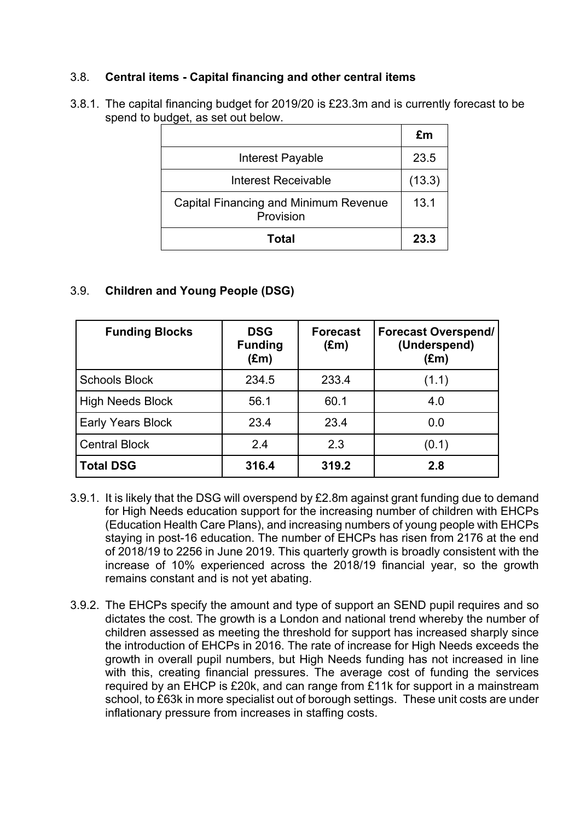#### 3.8. **Central items - Capital financing and other central items**

3.8.1. The capital financing budget for 2019/20 is £23.3m and is currently forecast to be spend to budget, as set out below.

|                                                    | £m     |
|----------------------------------------------------|--------|
| Interest Payable                                   | 23.5   |
| <b>Interest Receivable</b>                         | (13.3) |
| Capital Financing and Minimum Revenue<br>Provision | 13.1   |
| Total                                              | 23.3   |

#### 3.9. **Children and Young People (DSG)**

| <b>Funding Blocks</b>    | <b>DSG</b><br><b>Funding</b><br>$(\text{Em})$ | <b>Forecast</b><br>$(\text{Em})$ | <b>Forecast Overspend/</b><br>(Underspend)<br>$(\text{Em})$ |
|--------------------------|-----------------------------------------------|----------------------------------|-------------------------------------------------------------|
| <b>Schools Block</b>     | 234.5                                         | 233.4                            | (1.1)                                                       |
| <b>High Needs Block</b>  | 56.1                                          | 60.1                             | 4.0                                                         |
| <b>Early Years Block</b> | 23.4                                          | 23.4                             | 0.0                                                         |
| <b>Central Block</b>     | 2.4                                           | 2.3                              | (0.1)                                                       |
| <b>Total DSG</b>         | 316.4                                         | 319.2                            | 2.8                                                         |

- 3.9.1. It is likely that the DSG will overspend by £2.8m against grant funding due to demand for High Needs education support for the increasing number of children with EHCPs (Education Health Care Plans), and increasing numbers of young people with EHCPs staying in post-16 education. The number of EHCPs has risen from 2176 at the end of 2018/19 to 2256 in June 2019. This quarterly growth is broadly consistent with the increase of 10% experienced across the 2018/19 financial year, so the growth remains constant and is not yet abating.
- 3.9.2. The EHCPs specify the amount and type of support an SEND pupil requires and so dictates the cost. The growth is a London and national trend whereby the number of children assessed as meeting the threshold for support has increased sharply since the introduction of EHCPs in 2016. The rate of increase for High Needs exceeds the growth in overall pupil numbers, but High Needs funding has not increased in line with this, creating financial pressures. The average cost of funding the services required by an EHCP is £20k, and can range from £11k for support in a mainstream school, to £63k in more specialist out of borough settings. These unit costs are under inflationary pressure from increases in staffing costs.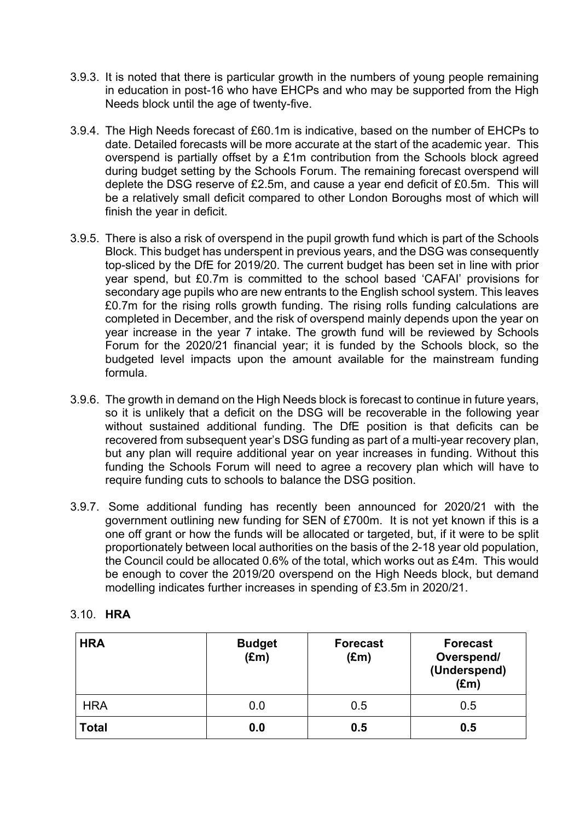- 3.9.3. It is noted that there is particular growth in the numbers of young people remaining in education in post-16 who have EHCPs and who may be supported from the High Needs block until the age of twenty-five.
- 3.9.4. The High Needs forecast of £60.1m is indicative, based on the number of EHCPs to date. Detailed forecasts will be more accurate at the start of the academic year. This overspend is partially offset by a £1m contribution from the Schools block agreed during budget setting by the Schools Forum. The remaining forecast overspend will deplete the DSG reserve of £2.5m, and cause a year end deficit of £0.5m. This will be a relatively small deficit compared to other London Boroughs most of which will finish the year in deficit.
- 3.9.5. There is also a risk of overspend in the pupil growth fund which is part of the Schools Block. This budget has underspent in previous years, and the DSG was consequently top-sliced by the DfE for 2019/20. The current budget has been set in line with prior year spend, but £0.7m is committed to the school based 'CAFAI' provisions for secondary age pupils who are new entrants to the English school system. This leaves £0.7m for the rising rolls growth funding. The rising rolls funding calculations are completed in December, and the risk of overspend mainly depends upon the year on year increase in the year 7 intake. The growth fund will be reviewed by Schools Forum for the 2020/21 financial year; it is funded by the Schools block, so the budgeted level impacts upon the amount available for the mainstream funding formula.
- 3.9.6. The growth in demand on the High Needs block is forecast to continue in future years, so it is unlikely that a deficit on the DSG will be recoverable in the following year without sustained additional funding. The DfE position is that deficits can be recovered from subsequent year's DSG funding as part of a multi-year recovery plan, but any plan will require additional year on year increases in funding. Without this funding the Schools Forum will need to agree a recovery plan which will have to require funding cuts to schools to balance the DSG position.
- 3.9.7. Some additional funding has recently been announced for 2020/21 with the government outlining new funding for SEN of £700m. It is not yet known if this is a one off grant or how the funds will be allocated or targeted, but, if it were to be split proportionately between local authorities on the basis of the 2-18 year old population, the Council could be allocated 0.6% of the total, which works out as £4m. This would be enough to cover the 2019/20 overspend on the High Needs block, but demand modelling indicates further increases in spending of £3.5m in 2020/21.

| <b>HRA</b>   | <b>Budget</b><br>$(\text{Em})$ | <b>Forecast</b><br>$(\text{Em})$ | <b>Forecast</b><br>Overspend/<br>(Underspend)<br>$(\text{Em})$ |
|--------------|--------------------------------|----------------------------------|----------------------------------------------------------------|
| <b>HRA</b>   | 0.0                            | 0.5                              | 0.5                                                            |
| <b>Total</b> | 0.0                            | 0.5                              | 0.5                                                            |

#### 3.10. **HRA**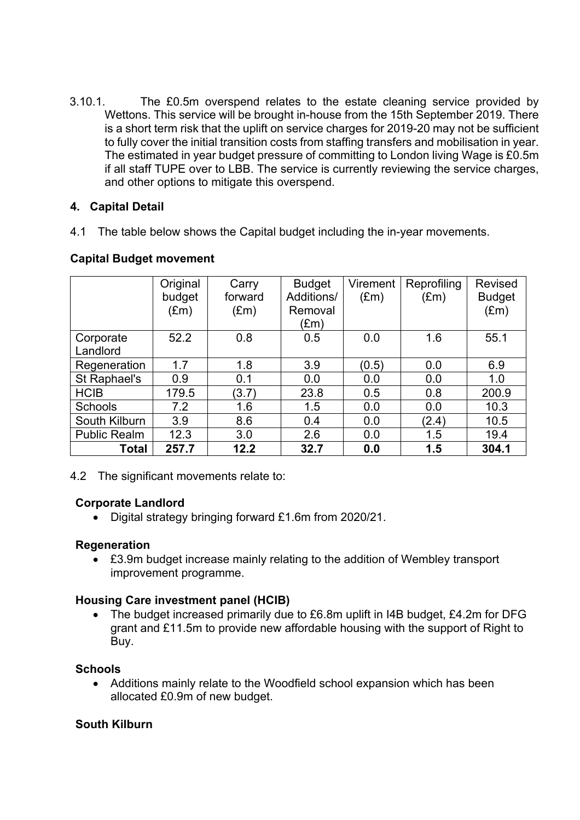3.10.1. The £0.5m overspend relates to the estate cleaning service provided by Wettons. This service will be brought in-house from the 15th September 2019. There is a short term risk that the uplift on service charges for 2019-20 may not be sufficient to fully cover the initial transition costs from staffing transfers and mobilisation in year. The estimated in year budget pressure of committing to London living Wage is £0.5m if all staff TUPE over to LBB. The service is currently reviewing the service charges, and other options to mitigate this overspend.

#### **4. Capital Detail**

4.1 The table below shows the Capital budget including the in-year movements.

|                     | Original      | Carry         | <b>Budget</b> | Virement      | Reprofiling   | <b>Revised</b> |
|---------------------|---------------|---------------|---------------|---------------|---------------|----------------|
|                     | budget        | forward       | Additions/    | $(\text{Em})$ | $(\text{Em})$ | <b>Budget</b>  |
|                     | $(\text{Em})$ | $(\text{Em})$ | Removal       |               |               | $(\text{Em})$  |
|                     |               |               | (£m)          |               |               |                |
| Corporate           | 52.2          | 0.8           | 0.5           | 0.0           | 1.6           | 55.1           |
| Landlord            |               |               |               |               |               |                |
| Regeneration        | 1.7           | 1.8           | 3.9           | (0.5)         | 0.0           | 6.9            |
| St Raphael's        | 0.9           | 0.1           | 0.0           | 0.0           | 0.0           | 1.0            |
| <b>HCIB</b>         | 179.5         | (3.7)         | 23.8          | 0.5           | 0.8           | 200.9          |
| <b>Schools</b>      | 7.2           | 1.6           | 1.5           | 0.0           | 0.0           | 10.3           |
| South Kilburn       | 3.9           | 8.6           | 0.4           | 0.0           | (2.4)         | 10.5           |
| <b>Public Realm</b> | 12.3          | 3.0           | 2.6           | 0.0           | 1.5           | 19.4           |
| <b>Total</b>        | 257.7         | 12.2          | 32.7          | 0.0           | 1.5           | 304.1          |

#### **Capital Budget movement**

4.2 The significant movements relate to:

## **Corporate Landlord**

Digital strategy bringing forward £1.6m from 2020/21.

#### **Regeneration**

 £3.9m budget increase mainly relating to the addition of Wembley transport improvement programme.

#### **Housing Care investment panel (HCIB)**

 The budget increased primarily due to £6.8m uplift in I4B budget, £4.2m for DFG grant and £11.5m to provide new affordable housing with the support of Right to Buy.

## **Schools**

 Additions mainly relate to the Woodfield school expansion which has been allocated £0.9m of new budget.

## **South Kilburn**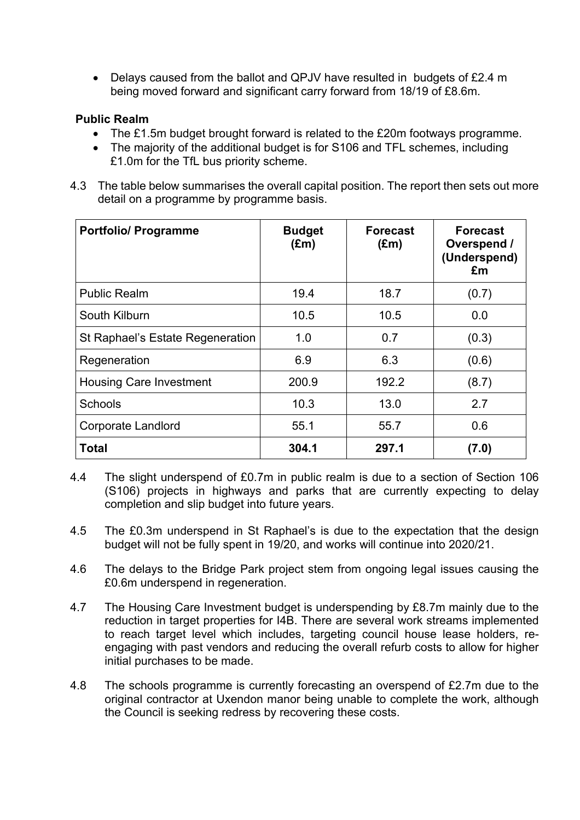• Delays caused from the ballot and QPJV have resulted in budgets of £2.4 m being moved forward and significant carry forward from 18/19 of £8.6m.

#### **Public Realm**

- The £1.5m budget brought forward is related to the £20m footways programme.
- The majority of the additional budget is for S106 and TFL schemes, including £1.0m for the TfL bus priority scheme.
- 4.3 The table below summarises the overall capital position. The report then sets out more detail on a programme by programme basis.

| <b>Portfolio/ Programme</b>      | <b>Budget</b><br>$(\text{Em})$ | <b>Forecast</b><br>$(\text{Em})$ | <b>Forecast</b><br>Overspend /<br>(Underspend)<br>£m |
|----------------------------------|--------------------------------|----------------------------------|------------------------------------------------------|
| <b>Public Realm</b>              | 19.4                           | 18.7                             | (0.7)                                                |
| South Kilburn                    | 10.5                           | 10.5                             | 0.0                                                  |
| St Raphael's Estate Regeneration | 1.0                            | 0.7                              | (0.3)                                                |
| Regeneration                     | 6.9                            | 6.3                              | (0.6)                                                |
| <b>Housing Care Investment</b>   | 200.9                          | 192.2                            | (8.7)                                                |
| <b>Schools</b>                   | 10.3                           | 13.0                             | 2.7                                                  |
| Corporate Landlord               | 55.1                           | 55.7                             | 0.6                                                  |
| <b>Total</b>                     | 304.1                          | 297.1                            | (7.0)                                                |

- 4.4 The slight underspend of £0.7m in public realm is due to a section of Section 106 (S106) projects in highways and parks that are currently expecting to delay completion and slip budget into future years.
- 4.5 The £0.3m underspend in St Raphael's is due to the expectation that the design budget will not be fully spent in 19/20, and works will continue into 2020/21.
- 4.6 The delays to the Bridge Park project stem from ongoing legal issues causing the £0.6m underspend in regeneration.
- 4.7 The Housing Care Investment budget is underspending by £8.7m mainly due to the reduction in target properties for I4B. There are several work streams implemented to reach target level which includes, targeting council house lease holders, reengaging with past vendors and reducing the overall refurb costs to allow for higher initial purchases to be made.
- 4.8 The schools programme is currently forecasting an overspend of £2.7m due to the original contractor at Uxendon manor being unable to complete the work, although the Council is seeking redress by recovering these costs.